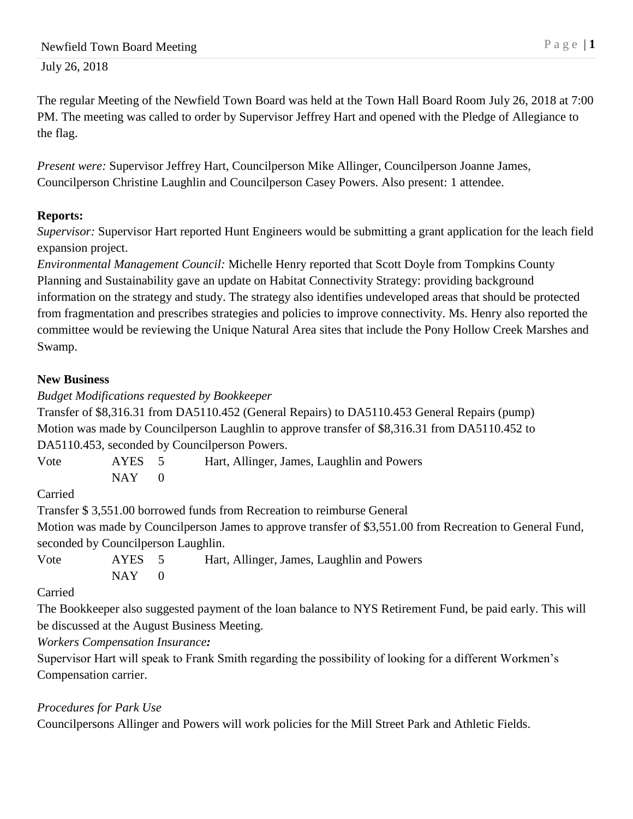July 26, 2018

The regular Meeting of the Newfield Town Board was held at the Town Hall Board Room July 26, 2018 at 7:00 PM. The meeting was called to order by Supervisor Jeffrey Hart and opened with the Pledge of Allegiance to the flag.

*Present were:* Supervisor Jeffrey Hart, Councilperson Mike Allinger, Councilperson Joanne James, Councilperson Christine Laughlin and Councilperson Casey Powers. Also present: 1 attendee.

# **Reports:**

*Supervisor:* Supervisor Hart reported Hunt Engineers would be submitting a grant application for the leach field expansion project.

*Environmental Management Council:* Michelle Henry reported that Scott Doyle from Tompkins County Planning and Sustainability gave an update on Habitat Connectivity Strategy: providing background information on the strategy and study. The strategy also identifies undeveloped areas that should be protected from fragmentation and prescribes strategies and policies to improve connectivity. Ms. Henry also reported the committee would be reviewing the Unique Natural Area sites that include the Pony Hollow Creek Marshes and Swamp.

### **New Business**

*Budget Modifications requested by Bookkeeper*

| Transfer of \$8,316.31 from DA5110.452 (General Repairs) to DA5110.453 General Repairs (pump)  |
|------------------------------------------------------------------------------------------------|
| Motion was made by Councilperson Laughlin to approve transfer of \$8,316.31 from DA5110.452 to |
| DA5110.453, seconded by Council person Powers.                                                 |

Vote AYES 5 Hart, Allinger, James, Laughlin and Powers  $NAY$  0

Carried

Transfer \$ 3,551.00 borrowed funds from Recreation to reimburse General

Motion was made by Councilperson James to approve transfer of \$3,551.00 from Recreation to General Fund, seconded by Councilperson Laughlin.

Vote AYES 5 Hart, Allinger, James, Laughlin and Powers  $NAY$  0

# Carried

The Bookkeeper also suggested payment of the loan balance to NYS Retirement Fund, be paid early. This will be discussed at the August Business Meeting.

*Workers Compensation Insurance:* 

Supervisor Hart will speak to Frank Smith regarding the possibility of looking for a different Workmen's Compensation carrier.

# *Procedures for Park Use*

Councilpersons Allinger and Powers will work policies for the Mill Street Park and Athletic Fields.